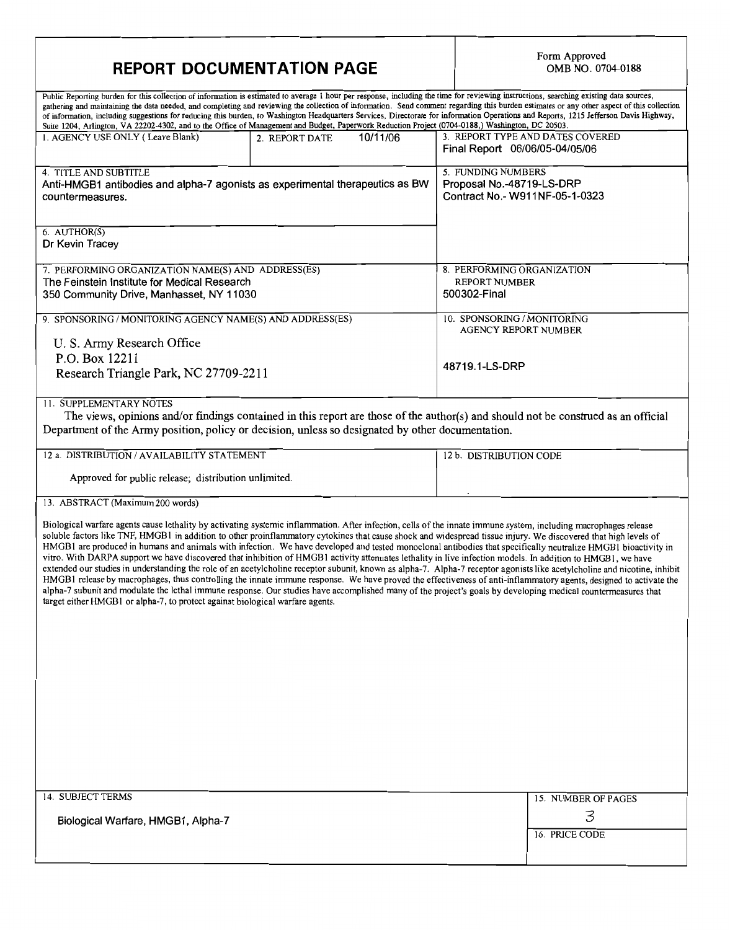# REPORT DOCUMENTATION PAGE

| Public Reporting burden for this collection of information is estimated to average 1 hour per response, including the time for reviewing instructions, searching existing data sources,<br>gathering and maintaining the data needed, and completing and reviewing the collection of information. Send comment regarding this burden estimates or any other aspect of this collection<br>of information, including suggestions for reducing this burden, to Washington Headquarters Services, Directorate for information Operations and Reports, 1215 Jefferson Davis Highway,<br>Suite 1204, Arlington, VA 22202-4302, and to the Office of Management and Budget, Paperwork Reduction Project (0704-0188,) Washington, DC 20503.                                                                                                                                                                                                                                                                                                                                                                                                                                                                                                                                                                         |                            |                                                                                   |  |
|-------------------------------------------------------------------------------------------------------------------------------------------------------------------------------------------------------------------------------------------------------------------------------------------------------------------------------------------------------------------------------------------------------------------------------------------------------------------------------------------------------------------------------------------------------------------------------------------------------------------------------------------------------------------------------------------------------------------------------------------------------------------------------------------------------------------------------------------------------------------------------------------------------------------------------------------------------------------------------------------------------------------------------------------------------------------------------------------------------------------------------------------------------------------------------------------------------------------------------------------------------------------------------------------------------------|----------------------------|-----------------------------------------------------------------------------------|--|
| 1. AGENCY USE ONLY (Leave Blank)                                                                                                                                                                                                                                                                                                                                                                                                                                                                                                                                                                                                                                                                                                                                                                                                                                                                                                                                                                                                                                                                                                                                                                                                                                                                            | 10/11/06<br>2. REPORT DATE | 3. REPORT TYPE AND DATES COVERED<br>Final Report 06/06/05-04/05/06                |  |
| 4. TITLE AND SUBTITLE<br>Anti-HMGB1 antibodies and alpha-7 agonists as experimental therapeutics as BW<br>countermeasures.                                                                                                                                                                                                                                                                                                                                                                                                                                                                                                                                                                                                                                                                                                                                                                                                                                                                                                                                                                                                                                                                                                                                                                                  |                            | 5. FUNDING NUMBERS<br>Proposal No.-48719-LS-DRP<br>Contract No.- W911NF-05-1-0323 |  |
| 6. AUTHOR(S)<br>Dr Kevin Tracey                                                                                                                                                                                                                                                                                                                                                                                                                                                                                                                                                                                                                                                                                                                                                                                                                                                                                                                                                                                                                                                                                                                                                                                                                                                                             |                            |                                                                                   |  |
| 7. PERFORMING ORGANIZATION NAME(S) AND ADDRESS(ES)<br>The Feinstein Institute for Medical Research<br>350 Community Drive, Manhasset, NY 11030                                                                                                                                                                                                                                                                                                                                                                                                                                                                                                                                                                                                                                                                                                                                                                                                                                                                                                                                                                                                                                                                                                                                                              |                            | 8. PERFORMING ORGANIZATION<br><b>REPORT NUMBER</b><br>500302-Final                |  |
| 9. SPONSORING / MONITORING AGENCY NAME(S) AND ADDRESS(ES)<br>U. S. Army Research Office                                                                                                                                                                                                                                                                                                                                                                                                                                                                                                                                                                                                                                                                                                                                                                                                                                                                                                                                                                                                                                                                                                                                                                                                                     |                            | 10. SPONSORING / MONITORING<br><b>AGENCY REPORT NUMBER</b>                        |  |
| P.O. Box 12211<br>Research Triangle Park, NC 27709-2211                                                                                                                                                                                                                                                                                                                                                                                                                                                                                                                                                                                                                                                                                                                                                                                                                                                                                                                                                                                                                                                                                                                                                                                                                                                     |                            | 48719.1-LS-DRP                                                                    |  |
| 11. SUPPLEMENTARY NOTES<br>The views, opinions and/or findings contained in this report are those of the author(s) and should not be construed as an official<br>Department of the Army position, policy or decision, unless so designated by other documentation.                                                                                                                                                                                                                                                                                                                                                                                                                                                                                                                                                                                                                                                                                                                                                                                                                                                                                                                                                                                                                                          |                            |                                                                                   |  |
| 12 a. DISTRIBUTION / AVAILABILITY STATEMENT<br>Approved for public release; distribution unlimited.                                                                                                                                                                                                                                                                                                                                                                                                                                                                                                                                                                                                                                                                                                                                                                                                                                                                                                                                                                                                                                                                                                                                                                                                         |                            | 12 b. DISTRIBUTION CODE                                                           |  |
| 13. ABSTRACT (Maximum 200 words)<br>Biological warfare agents cause lethality by activating systemic inflammation. After infection, cells of the innate immune system, including macrophages release<br>soluble factors like TNF, HMGB1 in addition to other proinflammatory cytokines that cause shock and widespread tissue injury. We discovered that high levels of<br>HMGB1 are produced in humans and animals with infection. We have developed and tested monoclonal antibodies that specifically neutralize HMGB1 bioactivity in<br>vitro. With DARPA support we have discovered that inhibition of HMGB1 activity attenuates lethality in live infection models. In addition to HMGB1, we have<br>extended our studies in understanding the role of an acetylcholine receptor subunit, known as alpha-7. Alpha-7 receptor agonists like acetylcholine and nicotine, inhibit<br>HMGB1 release by macrophages, thus controlling the innate immune response. We have proved the effectiveness of anti-inflammatory agents, designed to activate the<br>alpha-7 subunit and modulate the lethal immune response. Our studies have accomplished many of the project's goals by developing medical countermeasures that<br>target either HMGB1 or alpha-7, to protect against biological warfare agents. |                            |                                                                                   |  |
| 14. SUBJECT TERMS<br>Biological Warfare, HMGB1, Alpha-7                                                                                                                                                                                                                                                                                                                                                                                                                                                                                                                                                                                                                                                                                                                                                                                                                                                                                                                                                                                                                                                                                                                                                                                                                                                     |                            | 15. NUMBER OF PAGES<br>3<br>16. PRICE CODE                                        |  |
|                                                                                                                                                                                                                                                                                                                                                                                                                                                                                                                                                                                                                                                                                                                                                                                                                                                                                                                                                                                                                                                                                                                                                                                                                                                                                                             |                            |                                                                                   |  |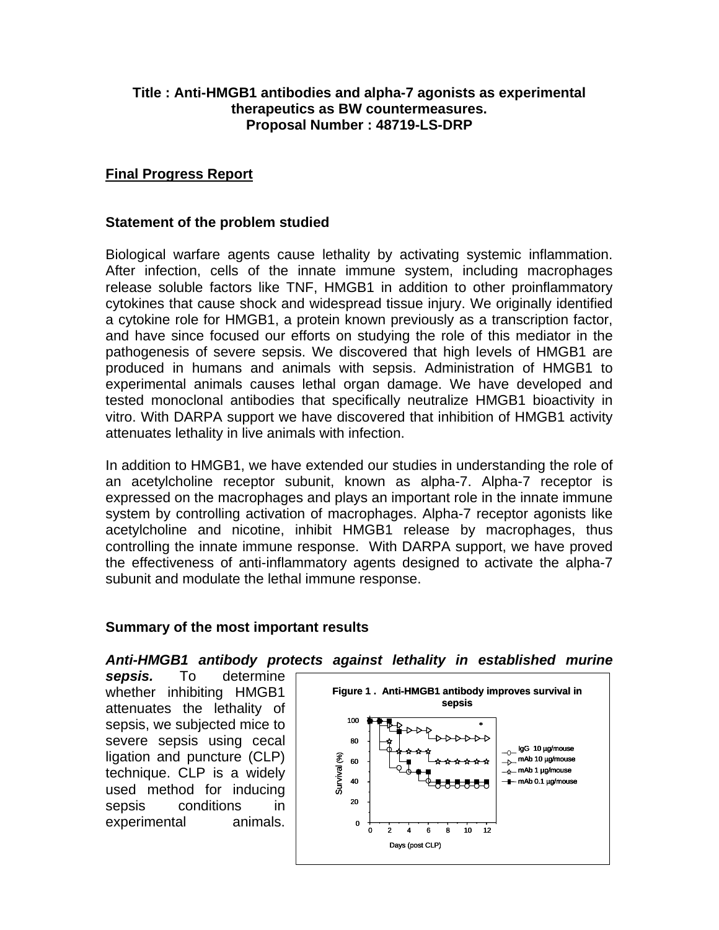## **Title : Anti-HMGB1 antibodies and alpha-7 agonists as experimental therapeutics as BW countermeasures. Proposal Number : 48719-LS-DRP**

## **Final Progress Report**

### **Statement of the problem studied**

Biological warfare agents cause lethality by activating systemic inflammation. After infection, cells of the innate immune system, including macrophages release soluble factors like TNF, HMGB1 in addition to other proinflammatory cytokines that cause shock and widespread tissue injury. We originally identified a cytokine role for HMGB1, a protein known previously as a transcription factor, and have since focused our efforts on studying the role of this mediator in the pathogenesis of severe sepsis. We discovered that high levels of HMGB1 are produced in humans and animals with sepsis. Administration of HMGB1 to experimental animals causes lethal organ damage. We have developed and tested monoclonal antibodies that specifically neutralize HMGB1 bioactivity in vitro. With DARPA support we have discovered that inhibition of HMGB1 activity attenuates lethality in live animals with infection.

In addition to HMGB1, we have extended our studies in understanding the role of an acetylcholine receptor subunit, known as alpha-7. Alpha-7 receptor is expressed on the macrophages and plays an important role in the innate immune system by controlling activation of macrophages. Alpha-7 receptor agonists like acetylcholine and nicotine, inhibit HMGB1 release by macrophages, thus controlling the innate immune response. With DARPA support, we have proved the effectiveness of anti-inflammatory agents designed to activate the alpha-7 subunit and modulate the lethal immune response.

#### **Summary of the most important results**

*Anti-HMGB1 antibody protects against lethality in established murine* 

*sepsis.* To determine whether inhibiting HMGB1 attenuates the lethality of sepsis, we subjected mice to severe sepsis using cecal ligation and puncture (CLP) technique. CLP is a widely used method for inducing sepsis conditions in experimental animals.

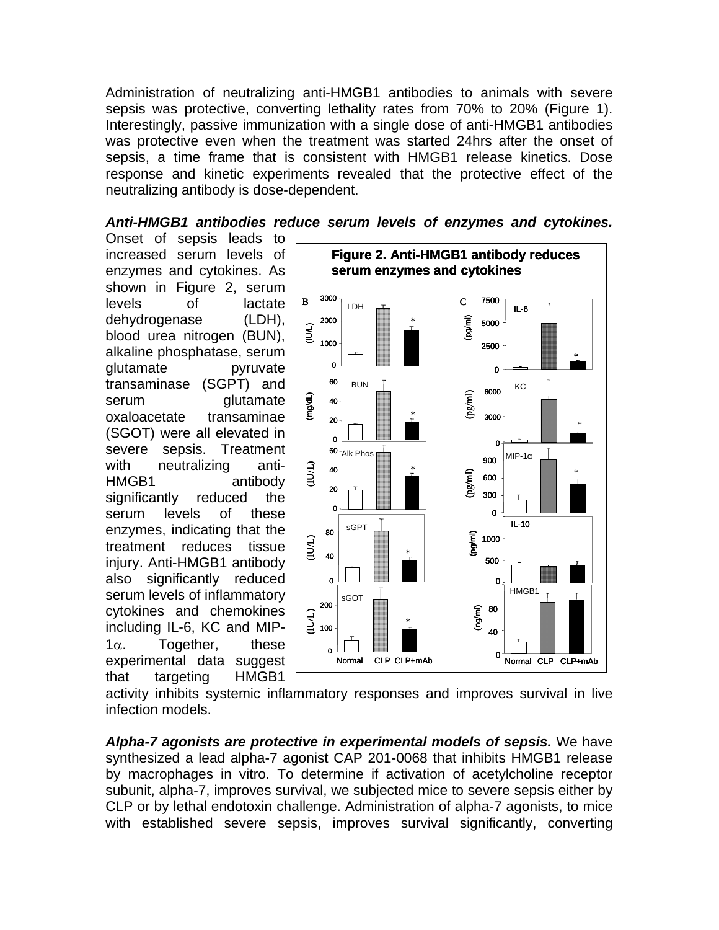Administration of neutralizing anti-HMGB1 antibodies to animals with severe sepsis was protective, converting lethality rates from 70% to 20% (Figure 1). Interestingly, passive immunization with a single dose of anti-HMGB1 antibodies was protective even when the treatment was started 24hrs after the onset of sepsis, a time frame that is consistent with HMGB1 release kinetics. Dose response and kinetic experiments revealed that the protective effect of the neutralizing antibody is dose-dependent.

#### *Anti-HMGB1 antibodies reduce serum levels of enzymes and cytokines.*

Onset of sepsis leads to increased serum levels of enzymes and cytokines. As shown in Figure 2, serum levels of lactate dehydrogenase (LDH), blood urea nitrogen (BUN), alkaline phosphatase, serum glutamate pyruvate transaminase (SGPT) and serum glutamate oxaloacetate transaminae (SGOT) were all elevated in severe sepsis. Treatment with neutralizing anti-HMGB1 antibody significantly reduced the serum levels of these enzymes, indicating that the treatment reduces tissue injury. Anti-HMGB1 antibody also significantly reduced serum levels of inflammatory cytokines and chemokines including IL-6, KC and MIP- $1<sub>α</sub>$ . Together, these experimental data suggest that targeting HMGB1



activity inhibits systemic inflammatory responses and improves survival in live infection models.

*Alpha-7 agonists are protective in experimental models of sepsis.* We have synthesized a lead alpha-7 agonist CAP 201-0068 that inhibits HMGB1 release by macrophages in vitro. To determine if activation of acetylcholine receptor subunit, alpha-7, improves survival, we subjected mice to severe sepsis either by CLP or by lethal endotoxin challenge. Administration of alpha-7 agonists, to mice with established severe sepsis, improves survival significantly, converting